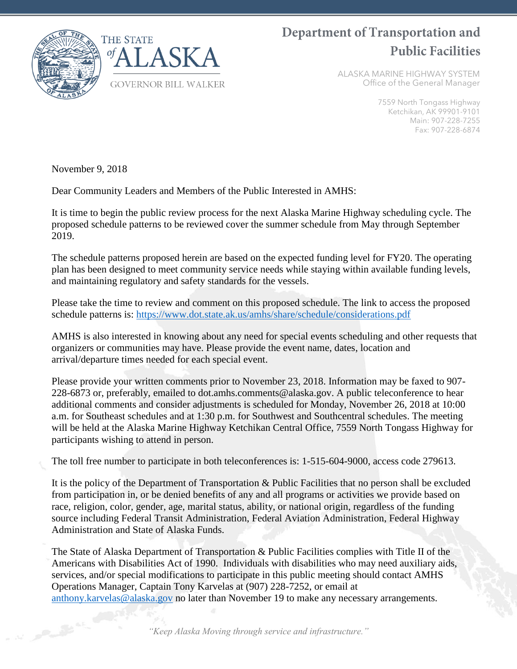

# Department of Transportation and **Public Facilities**

ALASKA MARINE HIGHWAY SYSTEM Office of the General Manager

> 7559 North Tongass Highway Ketchikan, AK 99901-9101 Main: 907-228-7255 Fax: 907-228-6874

November 9, 2018

Dear Community Leaders and Members of the Public Interested in AMHS:

It is time to begin the public review process for the next Alaska Marine Highway scheduling cycle. The proposed schedule patterns to be reviewed cover the summer schedule from May through September 2019.

The schedule patterns proposed herein are based on the expected funding level for FY20. The operating plan has been designed to meet community service needs while staying within available funding levels, and maintaining regulatory and safety standards for the vessels.

Please take the time to review and comment on this proposed schedule. The link to access the proposed schedule patterns is:<https://www.dot.state.ak.us/amhs/share/schedule/considerations.pdf>

AMHS is also interested in knowing about any need for special events scheduling and other requests that organizers or communities may have. Please provide the event name, dates, location and arrival/departure times needed for each special event.

Please provide your written comments prior to November 23, 2018. Information may be faxed to 907- 228-6873 or, preferably, emailed to dot.amhs.comments@alaska.gov. A public teleconference to hear additional comments and consider adjustments is scheduled for Monday, November 26, 2018 at 10:00 a.m. for Southeast schedules and at 1:30 p.m. for Southwest and Southcentral schedules. The meeting will be held at the Alaska Marine Highway Ketchikan Central Office, 7559 North Tongass Highway for participants wishing to attend in person.

The toll free number to participate in both teleconferences is: 1-515-604-9000, access code 279613.

It is the policy of the Department of Transportation & Public Facilities that no person shall be excluded from participation in, or be denied benefits of any and all programs or activities we provide based on race, religion, color, gender, age, marital status, ability, or national origin, regardless of the funding source including Federal Transit Administration, Federal Aviation Administration, Federal Highway Administration and State of Alaska Funds.

The State of Alaska Department of Transportation & Public Facilities complies with Title II of the Americans with Disabilities Act of 1990. Individuals with disabilities who may need auxiliary aids, services, and/or special modifications to participate in this public meeting should contact AMHS Operations Manager, Captain Tony Karvelas at (907) 228-7252, or email at [anthony.karvelas@alaska.gov](mailto:anthony.karvelas@alaska.gov) no later than November 19 to make any necessary arrangements.

*"Keep Alaska Moving through service and infrastructure."*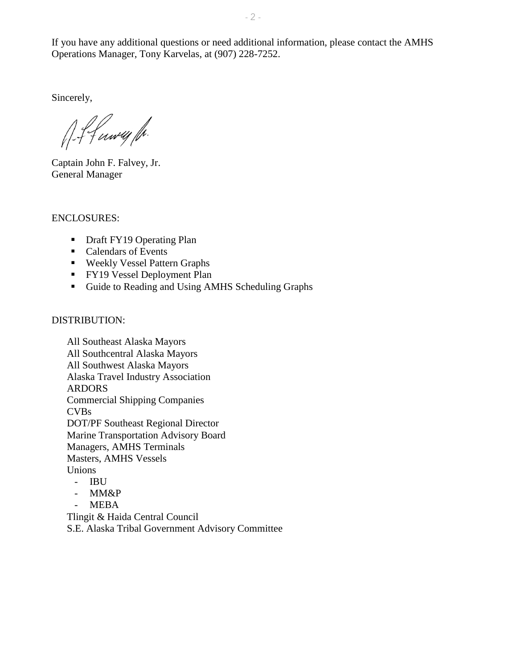Sincerely,

f-f funey fr.

Captain John F. Falvey, Jr. General Manager

### ENCLOSURES:

- Draft FY19 Operating Plan
- Calendars of Events
- **Weekly Vessel Pattern Graphs**
- **FY19** Vessel Deployment Plan
- Guide to Reading and Using AMHS Scheduling Graphs

### DISTRIBUTION:

All Southeast Alaska Mayors All Southcentral Alaska Mayors All Southwest Alaska Mayors Alaska Travel Industry Association ARDORS Commercial Shipping Companies CVBs DOT/PF Southeast Regional Director Marine Transportation Advisory Board Managers, AMHS Terminals Masters, AMHS Vessels Unions

- IBU
- MM&P
- MEBA

Tlingit & Haida Central Council S.E. Alaska Tribal Government Advisory Committee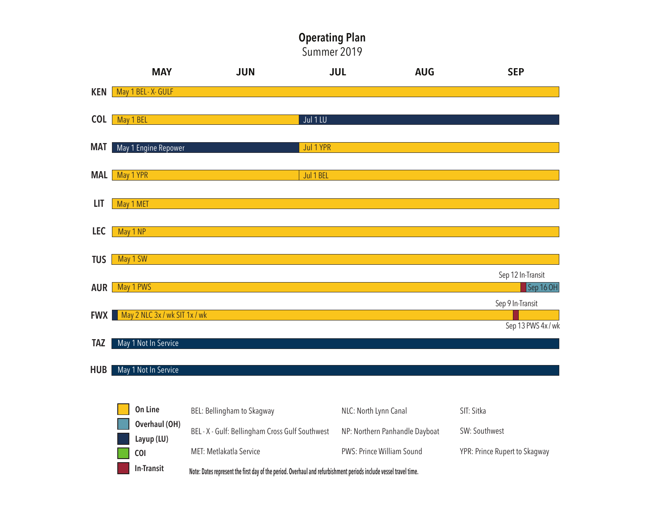# Operating Plan

Summer 2019

|            | <b>MAY</b>                               | <b>JUN</b> | <b>JUL</b> | <b>AUG</b> | <b>SEP</b>                             |
|------------|------------------------------------------|------------|------------|------------|----------------------------------------|
| KEN        | May 1 BEL - X - GULF                     |            |            |            |                                        |
| <b>COL</b> | May 1 BEL                                |            | Jul 1 LU   |            |                                        |
| <b>MAT</b> | May 1 Engine Repower                     |            | Jul 1 YPR  |            |                                        |
| <b>MAL</b> | May 1 YPR                                |            | Jul 1 BEL  |            |                                        |
| LIT        | May 1 MET                                |            |            |            |                                        |
|            |                                          |            |            |            |                                        |
| <b>LEC</b> | May 1 NP                                 |            |            |            |                                        |
| <b>TUS</b> | May 1 SW                                 |            |            |            | Sep 12 In-Transit                      |
| AUR        | May 1 PWS                                |            |            |            | Sep 16 OH                              |
|            | <b>FWX</b> May 2 NLC 3x / wk SIT 1x / wk |            |            |            | Sep 9 In-Transit<br>Sep 13 PWS 4x / wk |
| <b>TAZ</b> | May 1 Not In Service                     |            |            |            |                                        |

**HUB** May 1 Not In Service

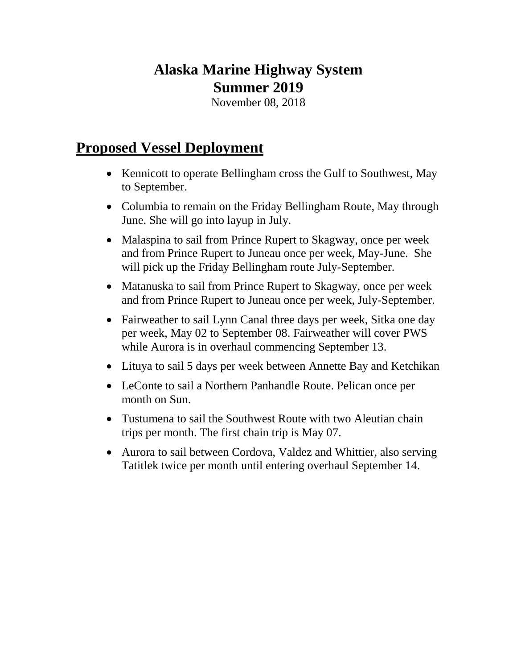# **Alaska Marine Highway System Summer 2019**

November 08, 2018

# **Proposed Vessel Deployment**

- Kennicott to operate Bellingham cross the Gulf to Southwest, May to September.
- Columbia to remain on the Friday Bellingham Route, May through June. She will go into layup in July.
- Malaspina to sail from Prince Rupert to Skagway, once per week and from Prince Rupert to Juneau once per week, May-June. She will pick up the Friday Bellingham route July-September.
- Matanuska to sail from Prince Rupert to Skagway, once per week and from Prince Rupert to Juneau once per week, July-September.
- Fairweather to sail Lynn Canal three days per week, Sitka one day per week, May 02 to September 08. Fairweather will cover PWS while Aurora is in overhaul commencing September 13.
- Lituya to sail 5 days per week between Annette Bay and Ketchikan
- LeConte to sail a Northern Panhandle Route. Pelican once per month on Sun.
- Tustumena to sail the Southwest Route with two Aleutian chain trips per month. The first chain trip is May 07.
- Aurora to sail between Cordova, Valdez and Whittier, also serving Tatitlek twice per month until entering overhaul September 14.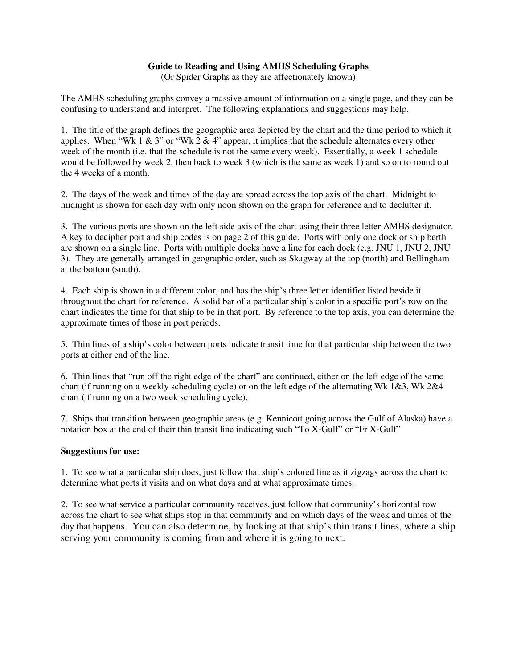### **Guide to Reading and Using AMHS Scheduling Graphs**

(Or Spider Graphs as they are affectionately known)

The AMHS scheduling graphs convey a massive amount of information on a single page, and they can be confusing to understand and interpret. The following explanations and suggestions may help.

1. The title of the graph defines the geographic area depicted by the chart and the time period to which it applies. When "Wk 1  $\&$  3" or "Wk 2  $\&$  4" appear, it implies that the schedule alternates every other week of the month (i.e. that the schedule is not the same every week). Essentially, a week 1 schedule would be followed by week 2, then back to week 3 (which is the same as week 1) and so on to round out the 4 weeks of a month.

2. The days of the week and times of the day are spread across the top axis of the chart. Midnight to midnight is shown for each day with only noon shown on the graph for reference and to declutter it.

3. The various ports are shown on the left side axis of the chart using their three letter AMHS designator. A key to decipher port and ship codes is on page 2 of this guide. Ports with only one dock or ship berth are shown on a single line. Ports with multiple docks have a line for each dock (e.g. JNU 1, JNU 2, JNU 3). They are generally arranged in geographic order, such as Skagway at the top (north) and Bellingham at the bottom (south).

4. Each ship is shown in a different color, and has the ship's three letter identifier listed beside it throughout the chart for reference. A solid bar of a particular ship's color in a specific port's row on the chart indicates the time for that ship to be in that port. By reference to the top axis, you can determine the approximate times of those in port periods.

5. Thin lines of a ship's color between ports indicate transit time for that particular ship between the two ports at either end of the line.

6. Thin lines that "run off the right edge of the chart" are continued, either on the left edge of the same chart (if running on a weekly scheduling cycle) or on the left edge of the alternating Wk  $1\&3$ , Wk  $2\&4$ chart (if running on a two week scheduling cycle).

7. Ships that transition between geographic areas (e.g. Kennicott going across the Gulf of Alaska) have a notation box at the end of their thin transit line indicating such "To X-Gulf" or "Fr X-Gulf"

### **Suggestions for use:**

1. To see what a particular ship does, just follow that ship's colored line as it zigzags across the chart to determine what ports it visits and on what days and at what approximate times.

2. To see what service a particular community receives, just follow that community's horizontal row across the chart to see what ships stop in that community and on which days of the week and times of the day that happens. You can also determine, by looking at that ship's thin transit lines, where a ship serving your community is coming from and where it is going to next.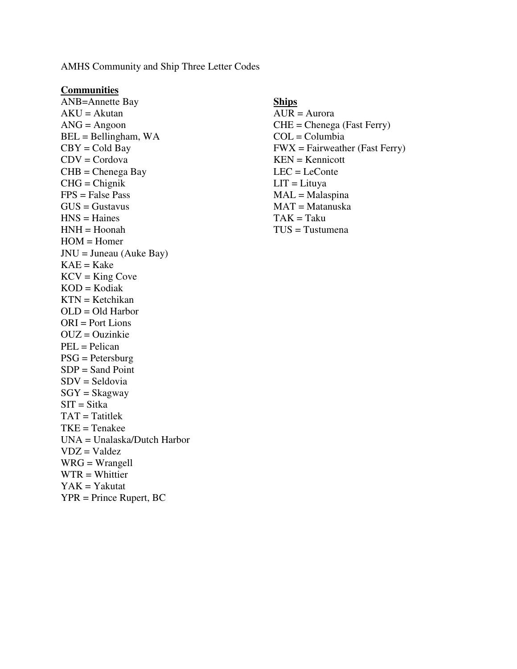AMHS Community and Ship Three Letter Codes

### **Communities**

ANB=Annette Bay **Ships**  $AKU = Akutan$   $AUR = Aurora$ ANG = Angoon CHE = Chenega (Fast Ferry) BEL = Bellingham, WA COL = Columbia  $CDV = Cordova$  KEN = Kennicott CHB = Chenega Bay LEC = LeConte CHG = Chignik LIT = Lituya  $FPS = False Pass$  MAL = Malaspina  $GUS = Gustavus$  MAT = Matanuska  $HNS = \text{Haines}$  TAK = Taku HNH = Hoonah TUS = Tustumena  $HOM =$ Homer  $JNU = Juneau$  (Auke Bay)  $KAE = Kake$  $KCV = King Cove$  $KOD = Kodiak$  $KTN = K$ etchikan  $OLD = Old Harbor$ ORI = Port Lions  $OUZ = Ouzinkie$ PEL = Pelican PSG = Petersburg  $SDP = Sand Point$ SDV = Seldovia  $SGY = Skagway$  $STT = Sitka$  $TAT = Tatitlek$ TKE = Tenakee UNA = Unalaska/Dutch Harbor  $VDZ = Valdez$ WRG = Wrangell WTR = Whittier  $YAK = Yakutat$ YPR = Prince Rupert, BC

# $CBY = Cold Bay$  FWX = Fairweather (Fast Ferry)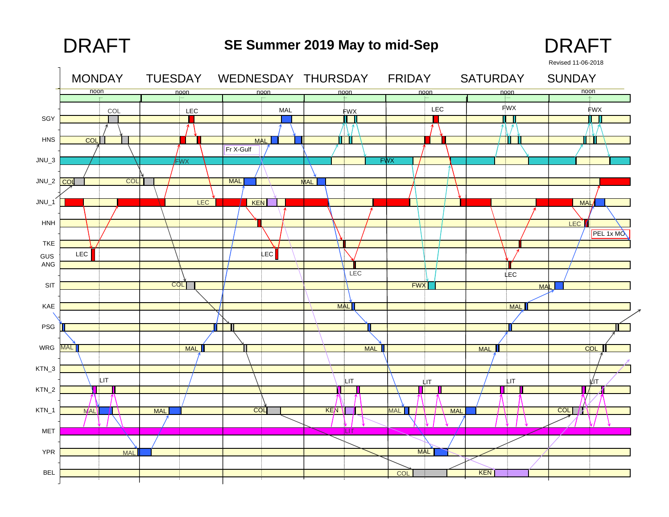# **SE Summer 2019 May to mid-Sep** DRAFT DRAFT



Revised 11-06-2018

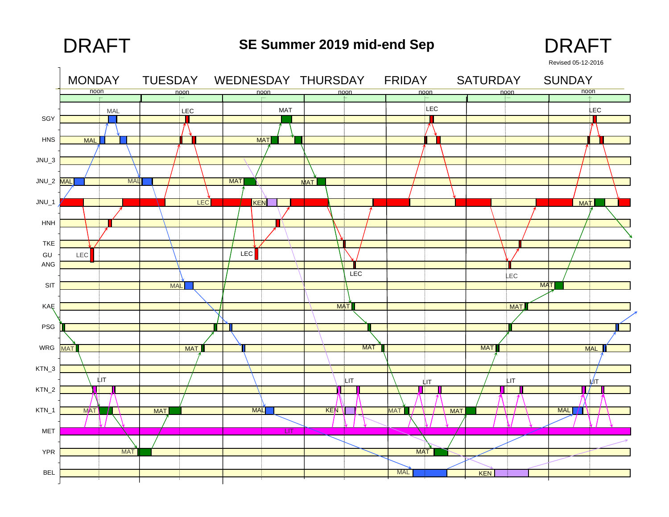# **SE Summer 2019 mid-end Sep** DRAFT DRAFT



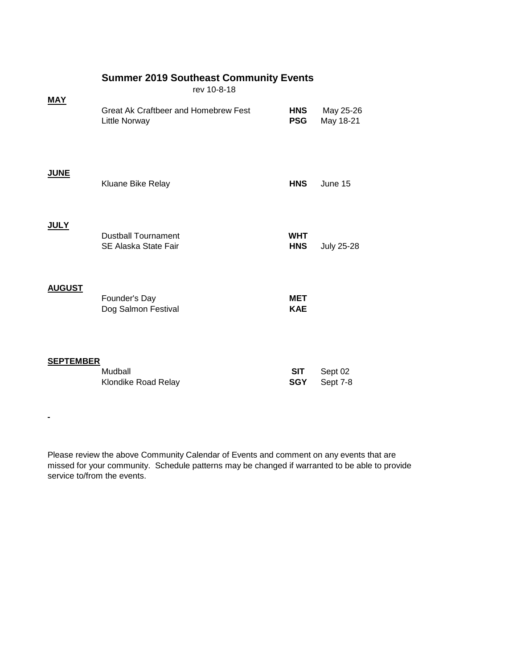|                  | rev 10-8-18                                           |                          |                        |
|------------------|-------------------------------------------------------|--------------------------|------------------------|
| <b>MAY</b>       | Great Ak Craftbeer and Homebrew Fest<br>Little Norway | <b>HNS</b><br><b>PSG</b> | May 25-26<br>May 18-21 |
| <b>JUNE</b>      | Kluane Bike Relay                                     | <b>HNS</b>               | June 15                |
| <u>JULY</u>      | <b>Dustball Tournament</b><br>SE Alaska State Fair    | <b>WHT</b><br><b>HNS</b> | <b>July 25-28</b>      |
| <b>AUGUST</b>    | Founder's Day<br>Dog Salmon Festival                  | MET<br><b>KAE</b>        |                        |
| <b>SEPTEMBER</b> | Mudball<br>Klondike Road Relay                        | <b>SIT</b><br><b>SGY</b> | Sept 02<br>Sept 7-8    |

 $\blacksquare$ 

**Summer 2019 Southeast Community Events**

Please review the above Community Calendar of Events and comment on any events that are missed for your community. Schedule patterns may be changed if warranted to be able to provide service to/from the events.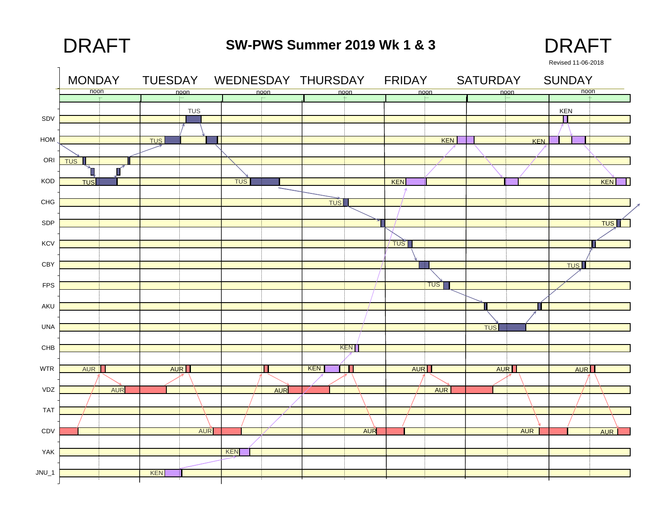**SW-PWS Summer 2019 Wk 1 & 3**DRAFT DRAFT



 MONDAY TUESDAY WEDNESDAY THURSDAY FRIDAY SATURDAY SUNDAYnoon noonn aan ah oo maan ah oo maan ah oo maan ah oo maan ah oo maan ah oo maan ah oo maan ah oo maan ah oo maan ah oo 12-Jun-18 13-Jun-18 14-Jun-18 15-Jun-18 16-Jun-18 17-Jun-18 TUSKENSDVπ HOM**TUS** KENKEN**TUS** ORI T. П KOD**TUS** TUSKEN**KEN** CHG**TUS** SDP <u>TUS</u> **KCV TUST** CBY**TUS** FPSTUS AKUШ UNA**TUS KEN** CHB WTRĦГ **AUR** KEN AUR AUR RII AURII AUREN AUR AURVDZ AUR AUR TAT CDVAUR**AUR** AUR AUR YAKKENJNU\_1 <u>KEN</u>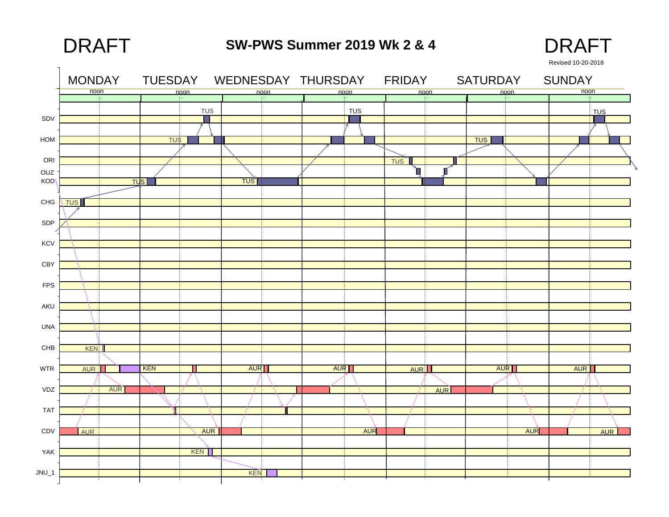**SW-PWS Summer 2019 Wk 2 & 4**DRAFT DRAFT



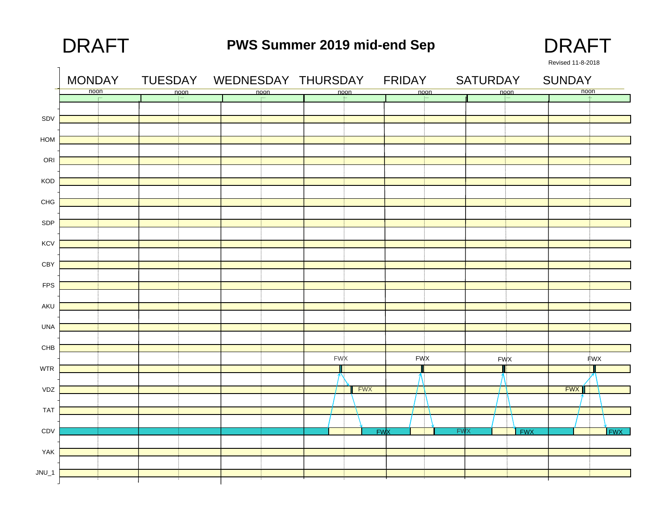noon

**KCV** 

SDP

CHG

KOD

**ORI** 

HOM

SDV

# **PWS Summer 2019 mid-end Sep** DRAFT DRAFT



17-Sep-19 18-Sep-19 18-Sep-19 19-Sep-19 20-Sep-19 21-Sep-19 21-Sep-19 21-Sep-19 21-Sep-19 21-Sep-19 21-Sep-19 21-Sep-19 21-Sep-19 21-Sep-19 21-Sep-19 21-Sep-19 21-Sep-19 21-Sep-19 21-Sep-19 21-Sep-19 21-Sep-19 21-Sep-19 2 noonn aan ah oo maan ah oo maan ah oo maan ah oo maan ah oo maan ah oo maan ah oo maan ah oo maan ah oo maan ah oo MONDAY TUESDAY WEDNESDAY THURSDAY FRIDAY SATURDAY SUNDAYRevised 11-8-2018